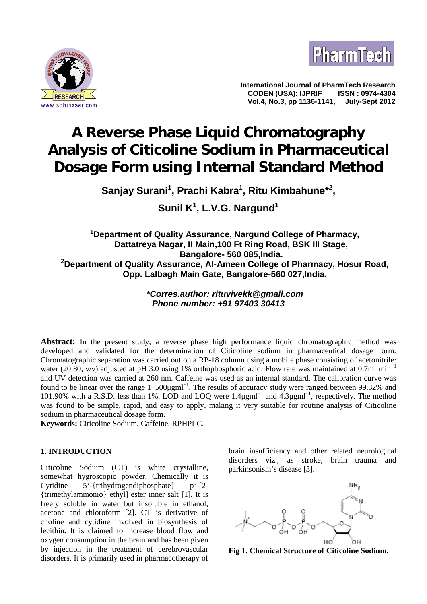



**International Journal of PharmTech Research CODEN (USA): IJPRIF ISSN : 0974-4304 Vol.4, No.3, pp 1136-1141,** 

# **A Reverse Phase Liquid Chromatography Analysis of Citicoline Sodium in Pharmaceutical Dosage Form using Internal Standard Method**

**Sanjay Surani<sup>1</sup> , Prachi Kabra<sup>1</sup> , Ritu Kimbahune\*<sup>2</sup> ,**

**Sunil K<sup>1</sup> , L.V.G. Nargund<sup>1</sup>**

**<sup>1</sup>Department of Quality Assurance, Nargund College of Pharmacy, Dattatreya Nagar, II Main,100 Ft Ring Road, BSK III Stage, Bangalore- 560 085,India. <sup>2</sup>Department of Quality Assurance, Al-Ameen College of Pharmacy, Hosur Road, Opp. Lalbagh Main Gate, Bangalore-560 027,India.**

> *\*Corres.author: rituvivekk@gmail.com Phone number: +91 97403 30413*

**Abstract:** In the present study, a reverse phase high performance liquid chromatographic method was developed and validated for the determination of Citicoline sodium in pharmaceutical dosage form. Chromatographic separation was carried out on a RP-18 column using a mobile phase consisting of acetonitrile: water (20:80, v/v) adjusted at pH 3.0 using 1% orthophosphoric acid. Flow rate was maintained at 0.7ml min<sup>-1</sup> and UV detection was carried at 260 nm. Caffeine was used as an internal standard. The calibration curve was found to be linear over the range 1–500μgml<sup>-1</sup>. The results of accuracy study were ranged between 99.32% and 101.90% with a R.S.D. less than 1%. LOD and LOQ were 1.4μgml<sup>−</sup><sup>1</sup> and 4.3μgml<sup>−</sup><sup>1</sup> , respectively. The method was found to be simple, rapid, and easy to apply, making it very suitable for routine analysis of Citicoline sodium in pharmaceutical dosage form.

**Keywords:** Citicoline Sodium, Caffeine, RPHPLC.

# **1. INTRODUCTION**

Citicoline Sodium (CT) is white crystalline, somewhat hygroscopic powder. Chemically it is Cytidine  $5'-\{\text{trihydrogendiphosphate}\}\$  p'-[2-{trimethylammonio} ethyl] ester inner salt [1]. It is freely soluble in water but insoluble in ethanol, acetone and chloroform [2]. CT is derivative of choline and cytidine involved in biosynthesis of lecithin**.** It is claimed to increase blood flow and oxygen consumption in the brain and has been given by injection in the treatment of cerebrovascular disorders. It is primarily used in pharmacotherapy of

brain insufficiency and other related neurological disorders viz., as stroke, brain trauma and parkinsonism's disease [3].



**Fig 1. Chemical Structure of Citicoline Sodium.**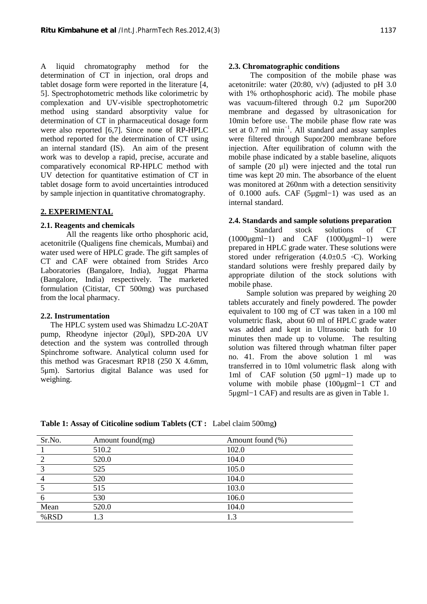A liquid chromatography method for the determination of CT in injection, oral drops and tablet dosage form were reported in the literature [4, 5]. Spectrophotometric methods like colorimetric by complexation and UV-visible spectrophotometric method using standard absorptivity value for determination of CT in pharmaceutical dosage form were also reported [6,7]. Since none of RP-HPLC method reported for the determination of CT using an internal standard (IS). An aim of the present work was to develop a rapid, precise, accurate and comparatively economical RP-HPLC method with UV detection for quantitative estimation of CT in tablet dosage form to avoid uncertainties introduced by sample injection in quantitative chromatography.

## **2. EXPERIMENTAL**

## **2.1. Reagents and chemicals**

 All the reagents like ortho phosphoric acid, acetonitrile (Qualigens fine chemicals, Mumbai) and water used were of HPLC grade. The gift samples of CT and CAF were obtained from Strides Arco Laboratories (Bangalore, India), Juggat Pharma (Bangalore, India) respectively. The marketed formulation (Citistar, CT 500mg) was purchased from the local pharmacy.

#### **2.2. Instrumentation**

 The HPLC system used was Shimadzu LC-20AT pump, Rheodyne injector (20μl), SPD-20A UV detection and the system was controlled through Spinchrome software. Analytical column used for this method was Gracesmart RP18 (250 X 4.6mm, 5μm). Sartorius digital Balance was used for weighing.

## **2.3. Chromatographic conditions**

 The composition of the mobile phase was acetonitrile: water (20:80, v/v) (adjusted to pH 3.0 with 1% orthophosphoric acid). The mobile phase was vacuum-filtered through 0.2 μm Supor200 membrane and degassed by ultrasonication for 10min before use. The mobile phase flow rate was set at 0.7 ml min<sup>-1</sup>. All standard and assay samples were filtered through Supor200 membrane before injection. After equilibration of column with the mobile phase indicated by a stable baseline, aliquots of sample (20 μl) were injected and the total run time was kept 20 min. The absorbance of the eluent was monitored at 260nm with a detection sensitivity of 0.1000 aufs. CAF (5μgml−1) was used as an internal standard.

#### **2.4. Standards and sample solutions preparation**

 Standard stock solutions of CT (1000μgml−1) and CAF (1000μgml−1) were prepared in HPLC grade water. These solutions were stored under refrigeration  $(4.0\pm0.5)$  C). Working standard solutions were freshly prepared daily by appropriate dilution of the stock solutions with mobile phase.

 Sample solution was prepared by weighing 20 tablets accurately and finely powdered. The powder equivalent to 100 mg of CT was taken in a 100 ml volumetric flask, about 60 ml of HPLC grade water was added and kept in Ultrasonic bath for 10 minutes then made up to volume. The resulting solution was filtered through whatman filter paper no. 41. From the above solution 1 ml was transferred in to 10ml volumetric flask along with 1ml of CAF solution (50 μgml−1) made up to volume with mobile phase (100μgml−1 CT and 5μgml−1 CAF) and results are as given in Table 1.

| Sr.No.  | Amount found(mg) | Amount found (%) |
|---------|------------------|------------------|
|         | 510.2            | 102.0            |
|         | 520.0            | 104.0            |
| 3       | 525              | 105.0            |
| 4       | 520              | 104.0            |
|         | 515              | 103.0            |
| 6       | 530              | 106.0            |
| Mean    | 520.0            | 104.0            |
| $%$ RSD | 1.3              | 1.3              |

**Table 1: Assay of Citicoline sodium Tablets (CT :** Label claim 500mg**)**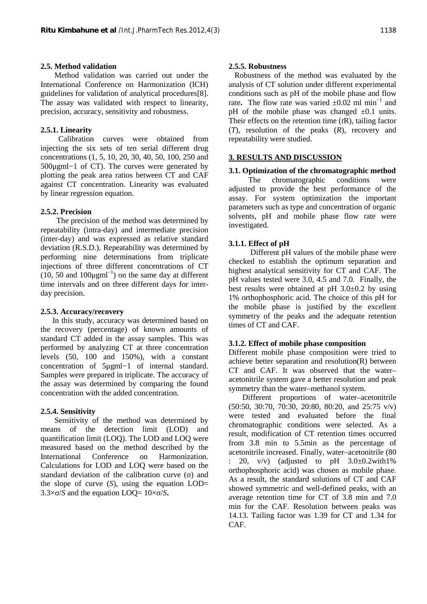## **2.5. Method validation**

 Method validation was carried out under the International Conference on Harmonization (ICH) guidelines for validation of analytical procedures[8]. The assay was validated with respect to linearity, precision, accuracy, sensitivity and robustness.

## **2.5.1. Linearity**

 Calibration curves were obtained from injecting the six sets of ten serial different drug concentrations (1, 5, 10, 20, 30, 40, 50, 100, 250 and 500μgml−1 of CT). The curves were generated by plotting the peak area ratios between CT and CAF against CT concentration. Linearity was evaluated by linear regression equation.

# **2.5.2. Precision**

 The precision of the method was determined by repeatability (intra-day) and intermediate precision (inter-day) and was expressed as relative standard deviation (R.S.D.). Repeatability was determined by performing nine determinations from triplicate injections of three different concentrations of CT (10, 50 and 100 $\mu$ gml<sup>-1</sup>) on the same day at different time intervals and on three different days for inter day precision.

## **2.5.3. Accuracy/recovery**

 In this study, accuracy was determined based on the recovery (percentage) of known amounts of standard CT added in the assay samples. This was performed by analyzing CT at three concentration levels (50, 100 and 150%), with a constant concentration of 5μgml−1 of internal standard. Samples were prepared in triplicate. The accuracy of the assay was determined by comparing the found concentration with the added concentration.

## **2.5.4. Sensitivity**

 Sensitivity of the method was determined by means of the detection limit (LOD) and quantification limit (LOQ). The LOD and LOQ were measured based on the method described by the International Conference on Harmonization. Calculations for LOD and LOQ were based on the standard deviation of the calibration curve () and the slope of curve  $(S)$ , using the equation  $LOD=$ 3.3× /*S* and the equation LOQ=  $10 \times /S$ .

## **2.5.5. Robustness**

 Robustness of the method was evaluated by the analysis of CT solution under different experimental conditions such as pH of the mobile phase and flow rate. The flow rate was varied  $\pm 0.02$  ml min<sup>-1</sup> and pH of the mobile phase was changed  $\pm 0.1$  units. Their effects on the retention time (*t*R), tailing factor (*T*), resolution of the peaks (*R*), recovery and repeatability were studied.

# **3. RESULTS AND DISCUSSION**

# **3.1. Optimization of the chromatographic method**

 The chromatographic conditions were adjusted to provide the best performance of the assay. For system optimization the important parameters such as type and concentration of organic solvents, pH and mobile phase flow rate were investigated.

# **3.1.1. Effect of pH**

 Different pH values of the mobile phase were checked to establish the optimum separation and highest analytical sensitivity for CT and CAF. The pH values tested were 3.0, 4.5 and 7.0. Finally, the best results were obtained at pH  $3.0\pm0.2$  by using 1% orthophosphoric acid. The choice of this pH for the mobile phase is justified by the excellent symmetry of the peaks and the adequate retention times of CT and CAF.

## **3.1.2. Effect of mobile phase composition**

Different mobile phase composition were tried to achieve better separation and resolution(R) between CT and CAF. It was observed that the water– acetonitrile system gave a better resolution and peak symmetry than the water–methanol system.

 Different proportions of water–acetonitrile (50:50, 30:70, 70:30, 20:80, 80:20, and 25:75 v/v) were tested and evaluated before the final chromatographic conditions were selected. As a result, modification of CT retention times occurred from 3.8 min to 5.5min as the percentage of acetonitrile increased. Finally, water–acetonitrile (80 : 20,  $v/v$ ) (adjusted to pH 3.0 $\pm$ 0.2with1%) orthophosphoric acid) was chosen as mobile phase. As a result, the standard solutions of CT and CAF showed symmetric and well-defined peaks, with an average retention time for CT of 3.8 min and 7.0 min for the CAF. Resolution between peaks was 14.13. Tailing factor was 1.39 for CT and 1.34 for CAF.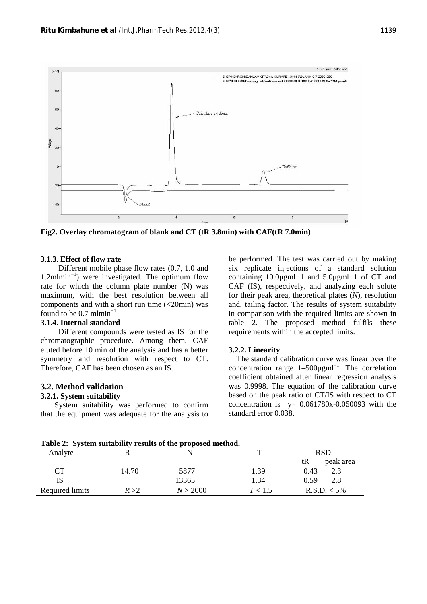

**Fig2. Overlay chromatogram of blank and CT (tR 3.8min) with CAF(tR 7.0min)**

#### **3.1.3. Effect of flow rate**

 Different mobile phase flow rates (0.7, 1.0 and 1.2mlmin<sup>−</sup><sup>1</sup>) were investigated. The optimum flow rate for which the column plate number (N) was maximum, with the best resolution between all components and with a short run time (<20min) was found to be  $0.7 \text{ m} \text{ l} \text{ min}^{-1}$ .

#### **3.1.4. Internal standard**

 Different compounds were tested as IS for the chromatographic procedure. Among them, CAF eluted before 10 min of the analysis and has a better symmetry and resolution with respect to CT. Therefore, CAF has been chosen as an IS.

#### **3.2. Method validation**

## **3.2.1. System suitability**

 System suitability was performed to confirm that the equipment was adequate for the analysis to be performed. The test was carried out by making six replicate injections of a standard solution containing 10.0μgml−1 and 5.0μgml−1 of CT and CAF (IS), respectively, and analyzing each solute for their peak area, theoretical plates (*N*), resolution and, tailing factor. The results of system suitability in comparison with the required limits are shown in table 2. The proposed method fulfils these requirements within the accepted limits.

#### **3.2.2. Linearity**

 The standard calibration curve was linear over the concentration range  $1-500\mu\text{gml}^{-1}$ . The correlation coefficient obtained after linear regression analysis was 0.9998. The equation of the calibration curve based on the peak ratio of CT/IS with respect to CT concentration is  $y= 0.061780x-0.050093$  with the standard error 0.038.

| Analyte         |       |          | ᡣ       | <b>RSD</b>      |  |
|-----------------|-------|----------|---------|-----------------|--|
|                 |       |          |         | tR<br>peak area |  |
|                 | 4.70  | 5877     | 1.39    | 0.43<br>ل و ک   |  |
| IS              |       | 13365    | . . 34  | 0.59            |  |
| Required limits | R > 2 | N > 2000 | T < 1.5 | $R.S.D. < 5\%$  |  |

**Table 2: System suitability results of the proposed method.**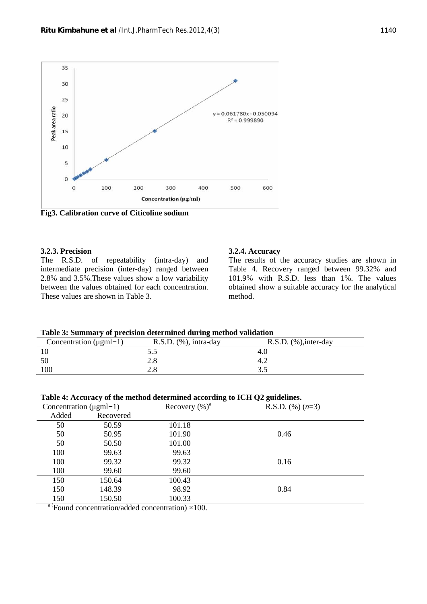

**Fig3. Calibration curve of Citicoline sodium**

## **3.2.3. Precision**

The R.S.D. of repeatability (intra-day) and intermediate precision (inter-day) ranged between 2.8% and 3.5%.These values show a low variability between the values obtained for each concentration. These values are shown in Table 3.

#### **3.2.4. Accuracy**

The results of the accuracy studies are shown in Table 4. Recovery ranged between 99.32% and 101.9% with R.S.D. less than 1%. The values obtained show a suitable accuracy for the analytical method.

#### **Table 3: Summary of precision determined during method validation**

| Concentration $(\mu gml-1)$ | $R.S.D.$ $(\%)$ , intra-day | $R.S.D.$ $%$ , inter-day |
|-----------------------------|-----------------------------|--------------------------|
|                             | ر. ر                        | 4.V                      |
| 50                          | 2.8                         | 4.4                      |
| 100                         | 2.8                         |                          |

| Table 4: Accuracy of the method determined according to ICH Q2 guidelines. |           |                                         |                    |  |
|----------------------------------------------------------------------------|-----------|-----------------------------------------|--------------------|--|
| Concentration $(\mu \text{gml}-1)$                                         |           | Recovery $(\%)^a$                       | R.S.D. $(\%)(n=3)$ |  |
| Added                                                                      | Recovered |                                         |                    |  |
| 50                                                                         | 50.59     | 101.18                                  |                    |  |
| 50                                                                         | 50.95     | 101.90                                  | 0.46               |  |
| 50                                                                         | 50.50     | 101.00                                  |                    |  |
| 100                                                                        | 99.63     | 99.63                                   |                    |  |
| 100                                                                        | 99.32     | 99.32                                   | 0.16               |  |
| 100                                                                        | 99.60     | 99.60                                   |                    |  |
| 150                                                                        | 150.64    | 100.43                                  |                    |  |
| 150                                                                        | 148.39    | 98.92                                   | 0.84               |  |
| 150                                                                        | 150.50    | 100.33                                  |                    |  |
| $\sim$ $\sim$                                                              | .         | $\cdot$ $\cdot$ $\cdot$ $\cdot$ $\cdot$ |                    |  |

<sup>a (</sup>Found concentration/added concentration)  $\times$ 100.